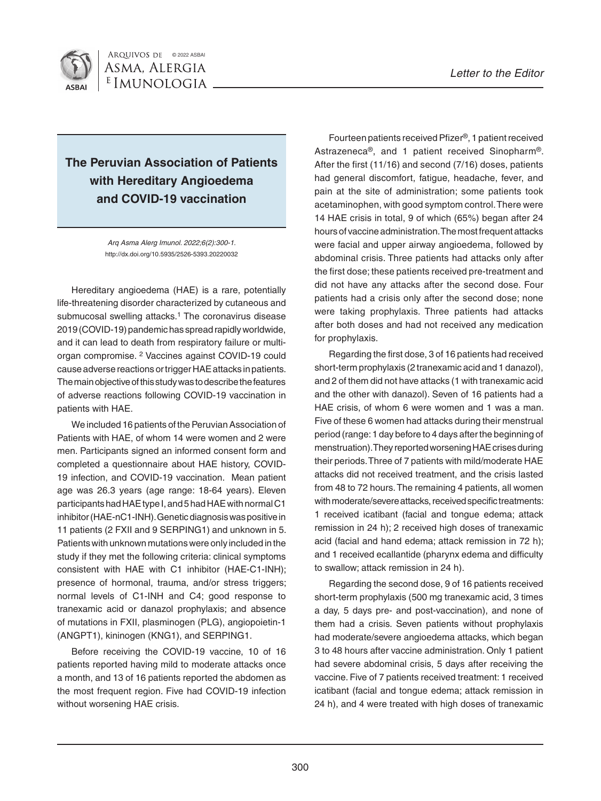

## **The Peruvian Association of Patients with Hereditary Angioedema and COVID-19 vaccination**

*Arq Asma Alerg Imunol. 2022;6(2):300-1.* http://dx.doi.org/10.5935/2526-5393.20220032

Hereditary angioedema (HAE) is a rare, potentially life-threatening disorder characterized by cutaneous and submucosal swelling attacks.<sup>1</sup> The coronavirus disease 2019 (COVID-19) pandemic has spread rapidly worldwide, and it can lead to death from respiratory failure or multiorgan compromise. 2 Vaccines against COVID-19 could cause adverse reactions or trigger HAE attacks in patients. The main objective of this study was to describe the features of adverse reactions following COVID-19 vaccination in patients with HAE.

We included 16 patients of the Peruvian Association of Patients with HAE, of whom 14 were women and 2 were men. Participants signed an informed consent form and completed a questionnaire about HAE history, COVID-19 infection, and COVID-19 vaccination. Mean patient age was 26.3 years (age range: 18-64 years). Eleven participants had HAE type I, and 5 had HAE with normal C1 inhibitor (HAE-nC1-INH). Genetic diagnosis was positive in 11 patients (2 FXII and 9 SERPING1) and unknown in 5. Patients with unknown mutations were only included in the study if they met the following criteria: clinical symptoms consistent with HAE with C1 inhibitor (HAE-C1-INH); presence of hormonal, trauma, and/or stress triggers; normal levels of C1-INH and C4; good response to tranexamic acid or danazol prophylaxis; and absence of mutations in FXII, plasminogen (PLG), angiopoietin-1 (ANGPT1), kininogen (KNG1), and SERPING1.

Before receiving the COVID-19 vaccine, 10 of 16 patients reported having mild to moderate attacks once a month, and 13 of 16 patients reported the abdomen as the most frequent region. Five had COVID-19 infection without worsening HAE crisis.

Fourteen patients received Pfizer®, 1 patient received Astrazeneca®, and 1 patient received Sinopharm®. After the first (11/16) and second (7/16) doses, patients had general discomfort, fatigue, headache, fever, and pain at the site of administration; some patients took acetaminophen, with good symptom control. There were 14 HAE crisis in total, 9 of which (65%) began after 24 hours of vaccine administration. The most frequent attacks were facial and upper airway angioedema, followed by abdominal crisis. Three patients had attacks only after the first dose; these patients received pre-treatment and did not have any attacks after the second dose. Four patients had a crisis only after the second dose; none were taking prophylaxis. Three patients had attacks after both doses and had not received any medication for prophylaxis.

Regarding the first dose, 3 of 16 patients had received short-term prophylaxis (2 tranexamic acid and 1 danazol), and 2 of them did not have attacks (1 with tranexamic acid and the other with danazol). Seven of 16 patients had a HAE crisis, of whom 6 were women and 1 was a man. Five of these 6 women had attacks during their menstrual period (range: 1 day before to 4 days after the beginning of menstruation). They reported worsening HAE crises during their periods. Three of 7 patients with mild/moderate HAE attacks did not received treatment, and the crisis lasted from 48 to 72 hours. The remaining 4 patients, all women with moderate/severe attacks, received specific treatments: 1 received icatibant (facial and tongue edema; attack remission in 24 h); 2 received high doses of tranexamic acid (facial and hand edema; attack remission in 72 h); and 1 received ecallantide (pharynx edema and difficulty to swallow; attack remission in 24 h).

Regarding the second dose, 9 of 16 patients received short-term prophylaxis (500 mg tranexamic acid, 3 times a day, 5 days pre- and post-vaccination), and none of them had a crisis. Seven patients without prophylaxis had moderate/severe angioedema attacks, which began 3 to 48 hours after vaccine administration. Only 1 patient had severe abdominal crisis, 5 days after receiving the vaccine. Five of 7 patients received treatment: 1 received icatibant (facial and tongue edema; attack remission in 24 h), and 4 were treated with high doses of tranexamic